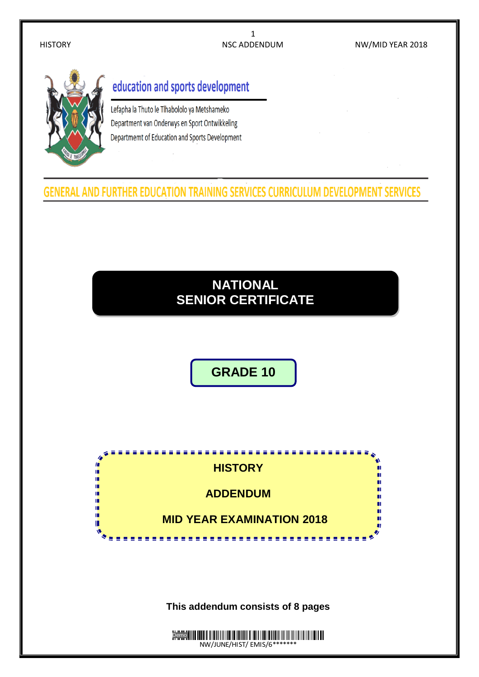1

HISTORY NSC ADDENDUM NW/MID YEAR 2018





# education and sports development

Lefapha la Thuto le Tlhabololo ya Metshameko Department van Onderwys en Sport Ontwikkeling Departmemt of Education and Sports Development

## **GENERAL AND FURTHER EDUCATION TRAINING SERVICES CURRICULUM DEVELOPMENT SERVICES**

## **NATIONAL SENIOR CERTIFICATE**

**GRADE 10**

**HISTORY** m ı۳ **ADDENDUM** II. í. m m  **MID YEAR EXAMINATION 2018** T ---------------

**This addendum consists of 8 pages**

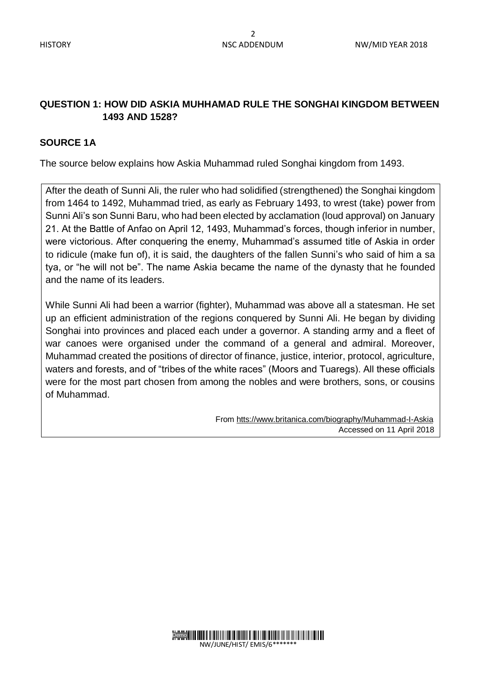## **QUESTION 1: HOW DID ASKIA MUHHAMAD RULE THE SONGHAI KINGDOM BETWEEN 1493 AND 1528?**

## **SOURCE 1A**

The source below explains how Askia Muhammad ruled Songhai kingdom from 1493.

After the death of Sunni Ali, the ruler who had solidified (strengthened) the Songhai kingdom from 1464 to 1492, Muhammad tried, as early as February 1493, to wrest (take) power from Sunni Ali's son Sunni Baru, who had been elected by acclamation (loud approval) on January 21. At the Battle of Anfao on April 12, 1493, Muhammad's forces, though inferior in number, were victorious. After conquering the enemy, Muhammad's assumed title of Askia in order to ridicule (make fun of), it is said, the daughters of the fallen Sunni's who said of him a sa tya, or "he will not be". The name Askia became the name of the dynasty that he founded and the name of its leaders.

While Sunni Ali had been a warrior (fighter), Muhammad was above all a statesman. He set up an efficient administration of the regions conquered by Sunni Ali. He began by dividing Songhai into provinces and placed each under a governor. A standing army and a fleet of war canoes were organised under the command of a general and admiral. Moreover, Muhammad created the positions of director of finance, justice, interior, protocol, agriculture, waters and forests, and of "tribes of the white races" (Moors and Tuaregs). All these officials were for the most part chosen from among the nobles and were brothers, sons, or cousins of Muhammad.

> From htts://www.britanica.com/biography/Muhammad-I-Askia Accessed on 11 April 2018

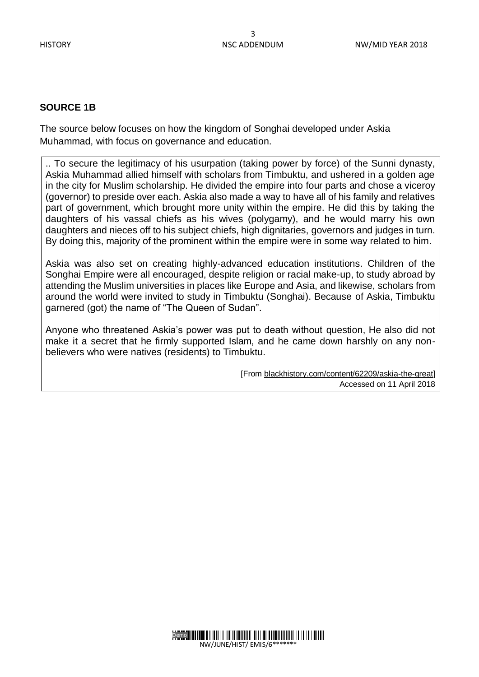#### **SOURCE 1B**

The source below focuses on how the kingdom of Songhai developed under Askia Muhammad, with focus on governance and education.

.. To secure the legitimacy of his usurpation (taking power by force) of the Sunni dynasty, Askia Muhammad allied himself with scholars from Timbuktu, and ushered in a golden age in the city for Muslim scholarship. He divided the empire into four parts and chose a viceroy (governor) to preside over each. Askia also made a way to have all of his family and relatives part of government, which brought more unity within the empire. He did this by taking the daughters of his vassal chiefs as his wives (polygamy), and he would marry his own daughters and nieces off to his subject chiefs, high dignitaries, governors and judges in turn. By doing this, majority of the prominent within the empire were in some way related to him.

Askia was also set on creating highly-advanced education institutions. Children of the Songhai Empire were all encouraged, despite religion or racial make-up, to study abroad by attending the Muslim universities in places like Europe and Asia, and likewise, scholars from around the world were invited to study in Timbuktu (Songhai). Because of Askia, Timbuktu garnered (got) the name of "The Queen of Sudan".

Anyone who threatened Askia's power was put to death without question, He also did not make it a secret that he firmly supported Islam, and he came down harshly on any nonbelievers who were natives (residents) to Timbuktu.

> [From blackhistory.com/content/62209/askia-the-great] Accessed on 11 April 2018

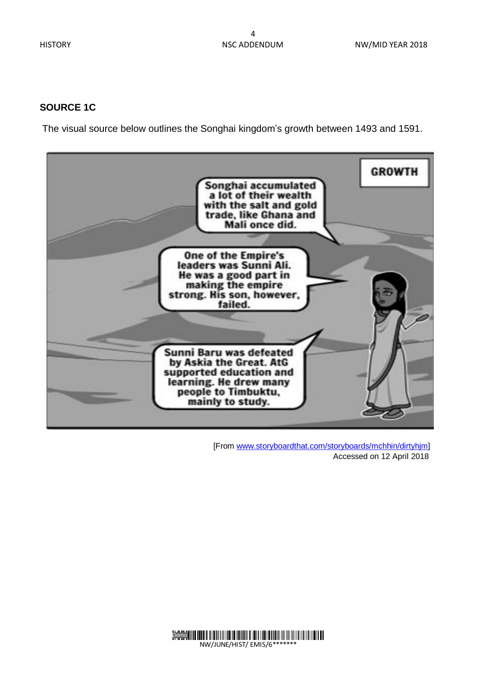#### **SOURCE 1C**

The visual source below outlines the Songhai kingdom's growth between 1493 and 1591.



 [From [www.storyboardthat.com/storyboards/mchhin/dirtyhjm\]](http://www.storyboardthat.com/storyboards/mchhin/dirtyhjm) Accessed on 12 April 2018

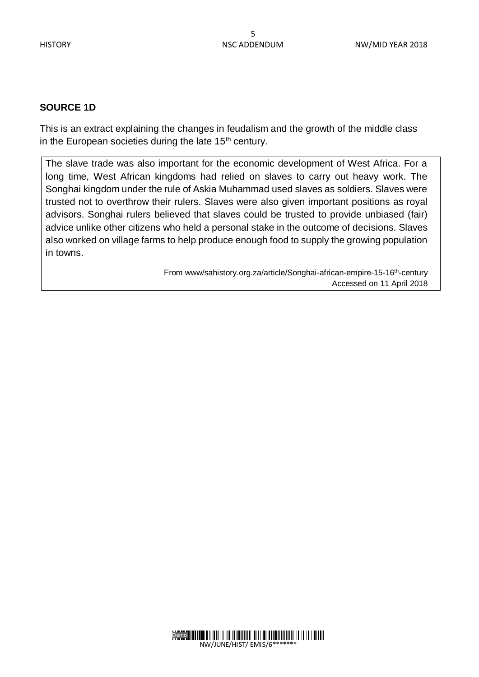#### **SOURCE 1D**

This is an extract explaining the changes in feudalism and the growth of the middle class in the European societies during the late  $15<sup>th</sup>$  century.

The slave trade was also important for the economic development of West Africa. For a long time, West African kingdoms had relied on slaves to carry out heavy work. The Songhai kingdom under the rule of Askia Muhammad used slaves as soldiers. Slaves were trusted not to overthrow their rulers. Slaves were also given important positions as royal advisors. Songhai rulers believed that slaves could be trusted to provide unbiased (fair) advice unlike other citizens who held a personal stake in the outcome of decisions. Slaves also worked on village farms to help produce enough food to supply the growing population in towns.

> From www/sahistory.org.za/article/Songhai-african-empire-15-16<sup>th</sup>-century Accessed on 11 April 2018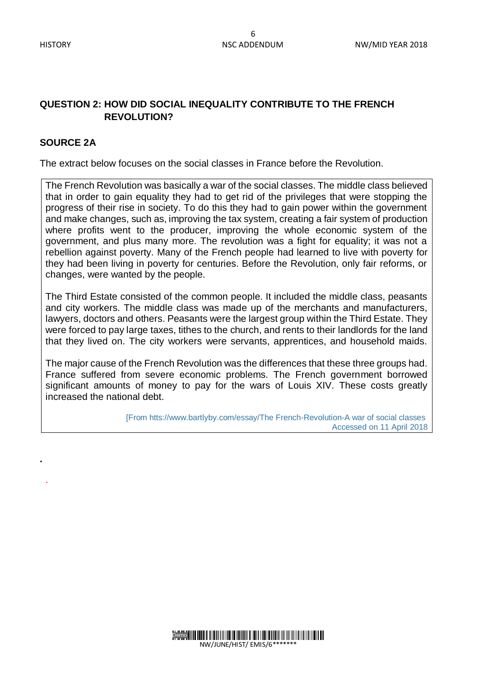## **QUESTION 2: HOW DID SOCIAL INEQUALITY CONTRIBUTE TO THE FRENCH REVOLUTION?**

### **SOURCE 2A**

**.**

.

The extract below focuses on the social classes in France before the Revolution.

The French Revolution was basically a war of the social classes. The middle class believed that in order to gain equality they had to get rid of the privileges that were stopping the progress of their rise in society. To do this they had to gain power within the government and make changes, such as, improving the tax system, creating a fair system of production where profits went to the producer, improving the whole economic system of the government, and plus many more. The revolution was a fight for equality; it was not a rebellion against poverty. Many of the French people had learned to live with poverty for they had been living in poverty for centuries. Before the Revolution, only fair reforms, or changes, were wanted by the people.

The Third Estate consisted of the common people. It included the middle class, peasants and city workers. The middle class was made up of the merchants and manufacturers, lawyers, doctors and others. Peasants were the largest group within the Third Estate. They were forced to pay large taxes, tithes to the church, and rents to their landlords for the land that they lived on. The city workers were servants, apprentices, and household maids.

The major cause of the French Revolution was the differences that these three groups had. France suffered from severe economic problems. The French government borrowed significant amounts of money to pay for the wars of Louis XIV. These costs greatly increased the national debt.

> [From htts://www.bartlyby.com/essay/The French-Revolution-A war of social classes Accessed on 11 April 2018

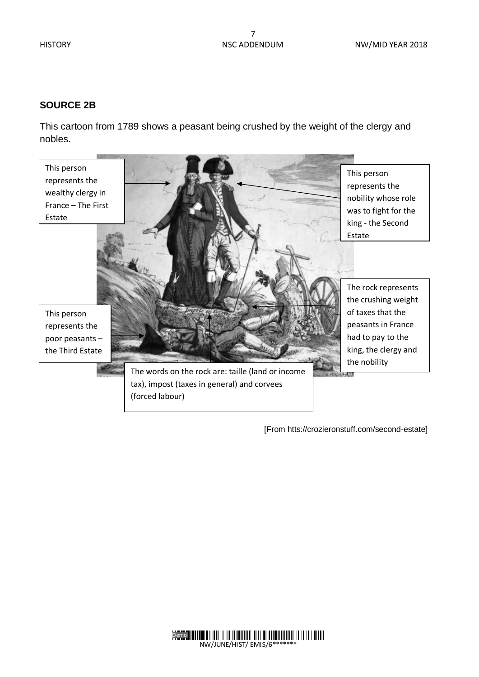#### **SOURCE 2B**

This cartoon from 1789 shows a peasant being crushed by the weight of the clergy and nobles.



[From htts://crozieronstuff.com/second-estate]